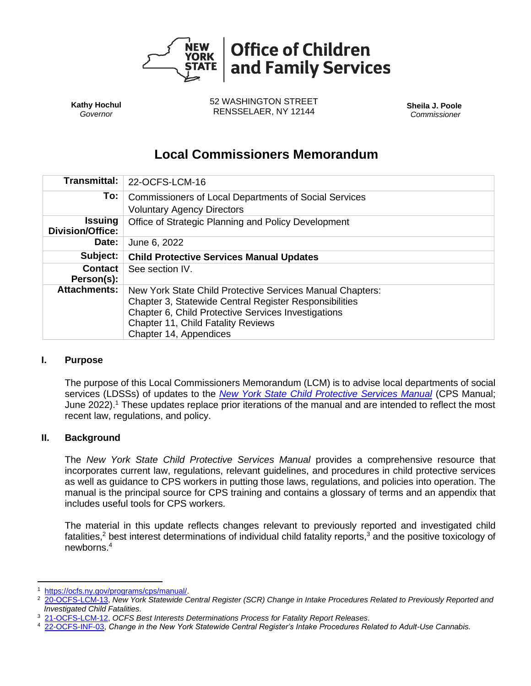

**Kathy Hochul** *Governor*

52 WASHINGTON STREET RENSSELAER, NY 12144 **Sheila J. Poole**

*Commissioner*

# **Local Commissioners Memorandum**

| <b>Transmittal:</b>                       | 22-OCFS-LCM-16                                                                                                                                                                                                                                    |
|-------------------------------------------|---------------------------------------------------------------------------------------------------------------------------------------------------------------------------------------------------------------------------------------------------|
| To:                                       | <b>Commissioners of Local Departments of Social Services</b>                                                                                                                                                                                      |
|                                           | <b>Voluntary Agency Directors</b>                                                                                                                                                                                                                 |
| <b>Issuing</b><br><b>Division/Office:</b> | Office of Strategic Planning and Policy Development                                                                                                                                                                                               |
| Date:                                     | June 6, 2022                                                                                                                                                                                                                                      |
| Subject:                                  | <b>Child Protective Services Manual Updates</b>                                                                                                                                                                                                   |
| <b>Contact</b><br>Person(s):              | See section IV.                                                                                                                                                                                                                                   |
| <b>Attachments:</b>                       | New York State Child Protective Services Manual Chapters:<br>Chapter 3, Statewide Central Register Responsibilities<br>Chapter 6, Child Protective Services Investigations<br><b>Chapter 11, Child Fatality Reviews</b><br>Chapter 14, Appendices |

## **I. Purpose**

The purpose of this Local Commissioners Memorandum (LCM) is to advise local departments of social services (LDSSs) of updates to the *[New York State Child Protective Services Manual](https://ocfs.ny.gov/programs/cps/manual/)* (CPS Manual; June 2022).<sup>1</sup> These updates replace prior iterations of the manual and are intended to reflect the most recent law, regulations, and policy.

## **II. Background**

The *New York State Child Protective Services Manual* provides a comprehensive resource that incorporates current law, regulations, relevant guidelines, and procedures in child protective services as well as guidance to CPS workers in putting those laws, regulations, and policies into operation. The manual is the principal source for CPS training and contains a glossary of terms and an appendix that includes useful tools for CPS workers.

The material in this update reflects changes relevant to previously reported and investigated child fatalities,<sup>2</sup> best interest determinations of individual child fatality reports,<sup>3</sup> and the positive toxicology of newborns. 4

<sup>1</sup> [https://ocfs.ny.gov/programs/cps/manual/.](https://ocfs.ny.gov/programs/cps/manual/)<br>2 20-OCES-LCM-13 New York Statewide C

<sup>2</sup> [20-OCFS-LCM-13,](https://ocfs.ny.gov/main/policies/external/ocfs_2020/LCM/20-OCFS-LCM-13.pdf) *New York Statewide Central Register (SCR) Change in Intake Procedures Related to Previously Reported and Investigated Child Fatalities.*

<sup>3</sup> [21-OCFS-LCM-12,](https://ocfs.ny.gov/main/policies/external/ocfs_2021/LCM/21-OCFS-LCM-12.pdf) *OCFS Best Interests Determinations Process for Fatality Report Releases.*

<sup>4</sup> [22-OCFS-INF-03,](https://ocfs.ny.gov/main/policies/external/2022/inf/22-OCFS-INF-03.pdf) *Change in the New York Statewide Central Register's Intake Procedures Related to Adult-Use Cannabis.*